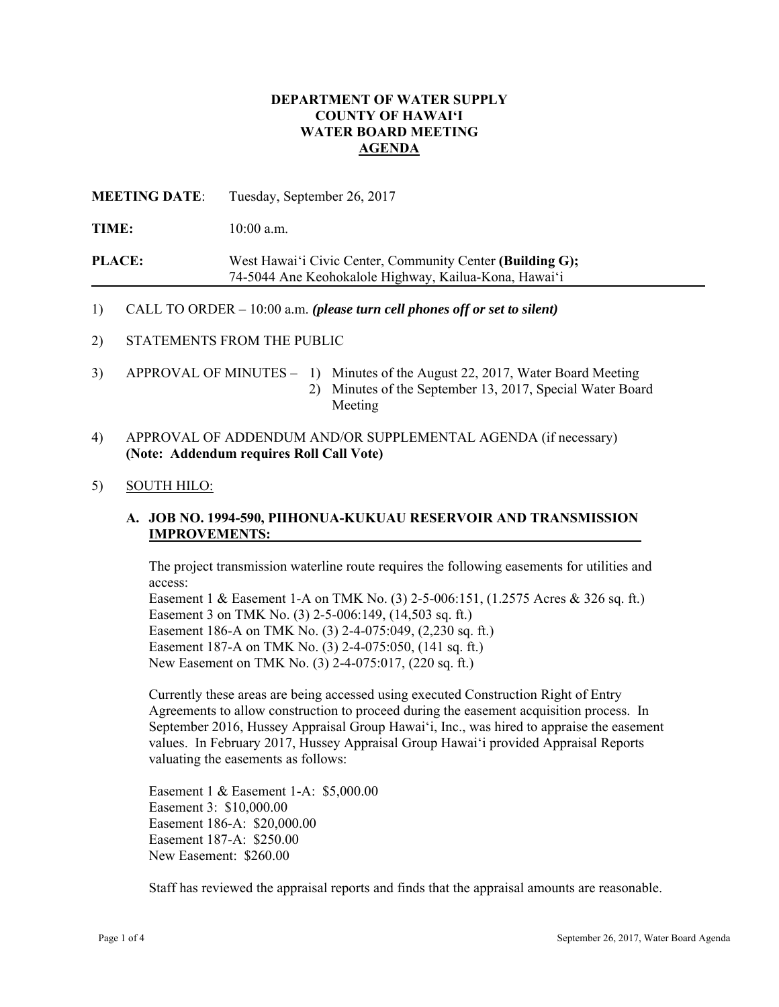## **DEPARTMENT OF WATER SUPPLY COUNTY OF HAWAI'I WATER BOARD MEETING AGENDA**

**MEETING DATE**: Tuesday, September 26, 2017

TIME:  $10:00$  a.m.

**PLACE:** West Hawai'i Civic Center, Community Center **(Building G);** 74-5044 Ane Keohokalole Highway, Kailua-Kona, Hawai'i

1) CALL TO ORDER – 10:00 a.m. *(please turn cell phones off or set to silent)* 

2) STATEMENTS FROM THE PUBLIC

- 3) APPROVAL OF MINUTES 1) Minutes of the August 22, 2017, Water Board Meeting 2) Minutes of the September 13, 2017, Special Water Board Meeting
- 4) APPROVAL OF ADDENDUM AND/OR SUPPLEMENTAL AGENDA (if necessary) **(Note: Addendum requires Roll Call Vote)**

#### 5) SOUTH HILO:

# **IMPROVEMENTS: A. JOB NO. 1994-590, PIIHONUA-KUKUAU RESERVOIR AND TRANSMISSION**

The project transmission waterline route requires the following easements for utilities and access:

Easement 1 & Easement 1-A on TMK No. (3) 2-5-006:151, (1.2575 Acres & 326 sq. ft.) Easement 3 on TMK No. (3) 2-5-006:149, (14,503 sq. ft.) Easement 186-A on TMK No. (3) 2-4-075:049, (2,230 sq. ft.) Easement 187-A on TMK No. (3) 2-4-075:050, (141 sq. ft.) New Easement on TMK No. (3) 2-4-075:017, (220 sq. ft.)

Currently these areas are being accessed using executed Construction Right of Entry Agreements to allow construction to proceed during the easement acquisition process. In September 2016, Hussey Appraisal Group Hawai'i, Inc., was hired to appraise the easement values. In February 2017, Hussey Appraisal Group Hawai'i provided Appraisal Reports valuating the easements as follows:

Easement 1 & Easement 1-A: \$5,000.00 Easement 3: \$10,000.00 Easement 186-A: \$20,000.00 Easement 187-A: \$250.00 New Easement: \$260.00

Staff has reviewed the appraisal reports and finds that the appraisal amounts are reasonable.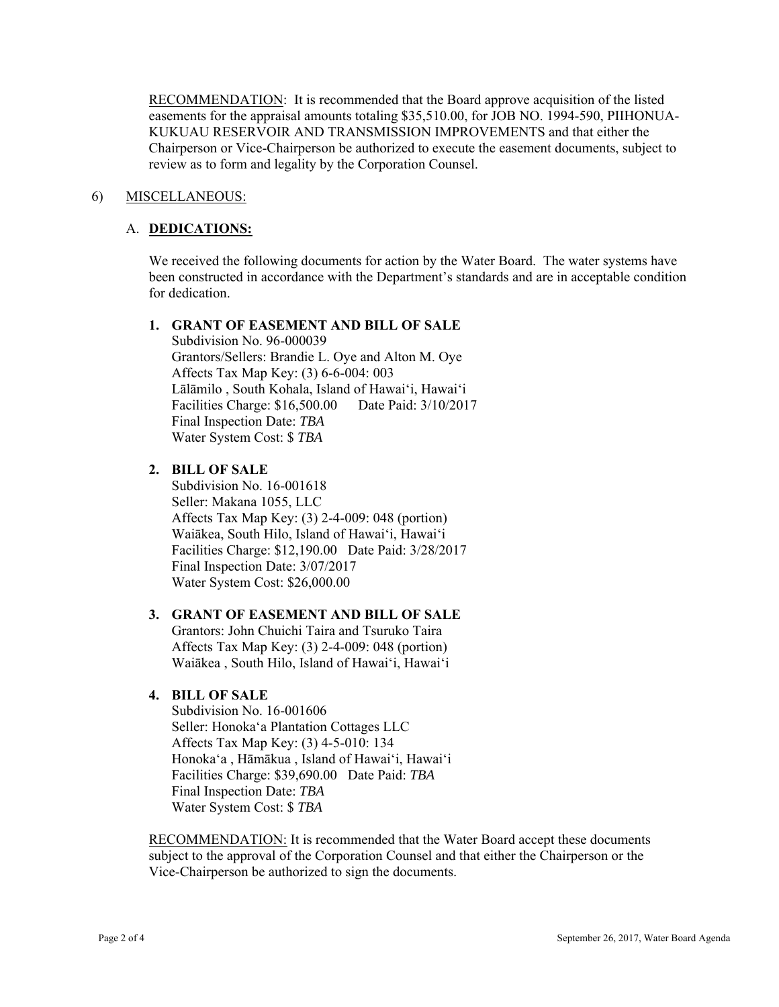RECOMMENDATION: It is recommended that the Board approve acquisition of the listed easements for the appraisal amounts totaling \$35,510.00, for JOB NO. 1994-590, PIIHONUA-KUKUAU RESERVOIR AND TRANSMISSION IMPROVEMENTS and that either the Chairperson or Vice-Chairperson be authorized to execute the easement documents, subject to review as to form and legality by the Corporation Counsel.

## 6) MISCELLANEOUS:

#### A. **DEDICATIONS:**

We received the following documents for action by the Water Board. The water systems have been constructed in accordance with the Department's standards and are in acceptable condition for dedication.

#### **1. GRANT OF EASEMENT AND BILL OF SALE**

 Affects Tax Map Key: (3) 6-6-004: 003 Subdivision No. 96-000039 Grantors/Sellers: Brandie L. Oye and Alton M. Oye Lālāmilo , South Kohala, Island of Hawai'i, Hawai'i Facilities Charge: \$16,500.00 Date Paid: 3/10/2017 Final Inspection Date: *TBA*  Water System Cost: \$ *TBA*

#### **2. BILL OF SALE**

Subdivision No. 16-001618 Seller: Makana 1055, LLC Affects Tax Map Key: (3) 2-4-009: 048 (portion) Waiākea, South Hilo, Island of Hawai'i, Hawai'i Facilities Charge: \$12,190.00 Date Paid: 3/28/2017 Final Inspection Date: 3/07/2017 Water System Cost: \$26,000.00

#### **3. GRANT OF EASEMENT AND BILL OF SALE**

Grantors: John Chuichi Taira and Tsuruko Taira Affects Tax Map Key: (3) 2-4-009: 048 (portion) Waiākea , South Hilo, Island of Hawai'i, Hawai'i

## **4. BILL OF SALE**

 Subdivision No. 16-001606 Seller: Honoka'a Plantation Cottages LLC Affects Tax Map Key: (3) 4-5-010: 134 Honoka'a , Hāmākua , Island of Hawai'i, Hawai'i Facilities Charge: \$39,690.00 Date Paid: *TBA* Final Inspection Date: *TBA*  Water System Cost: \$ *TBA* 

RECOMMENDATION: It is recommended that the Water Board accept these documents subject to the approval of the Corporation Counsel and that either the Chairperson or the Vice-Chairperson be authorized to sign the documents.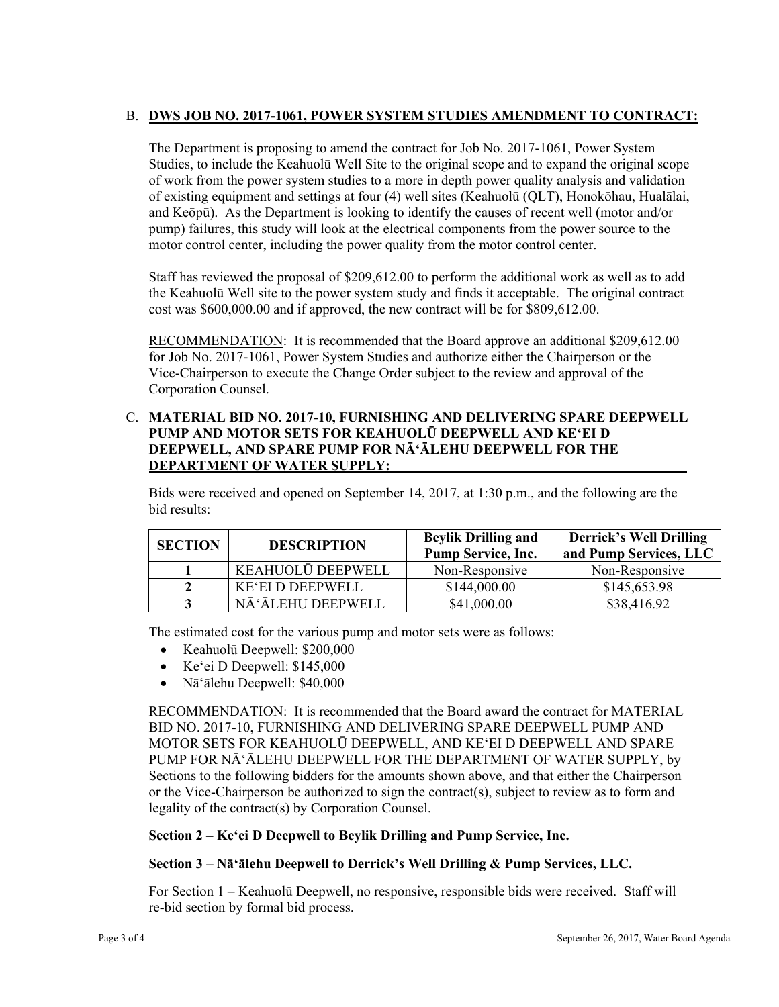# B. DWS JOB NO. 2017-1061, POWER SYSTEM STUDIES AMENDMENT TO CONTRACT:

The Department is proposing to amend the contract for Job No. 2017-1061, Power System Studies, to include the Keahuolū Well Site to the original scope and to expand the original scope of work from the power system studies to a more in depth power quality analysis and validation of existing equipment and settings at four (4) well sites (Keahuolū (QLT), Honokōhau, Hualālai, and Keōpū). As the Department is looking to identify the causes of recent well (motor and/or pump) failures, this study will look at the electrical components from the power source to the motor control center, including the power quality from the motor control center.

Staff has reviewed the proposal of \$209,612.00 to perform the additional work as well as to add the Keahuolū Well site to the power system study and finds it acceptable. The original contract cost was \$600,000.00 and if approved, the new contract will be for \$809,612.00.

RECOMMENDATION: It is recommended that the Board approve an additional \$209,612.00 for Job No. 2017-1061, Power System Studies and authorize either the Chairperson or the Vice-Chairperson to execute the Change Order subject to the review and approval of the Corporation Counsel.

## C. **MATERIAL BID NO. 2017-10, FURNISHING AND DELIVERING SPARE DEEPWELL PUMP AND MOTOR SETS FOR KEAHUOLŪ DEEPWELL AND KE'EI D DEEPWELL, AND SPARE PUMP FOR NĀ'ĀLEHU DEEPWELL FOR THE DEPARTMENT OF WATER SUPPLY:**

Bids were received and opened on September 14, 2017, at 1:30 p.m., and the following are the bid results:

| <b>SECTION</b> | <b>DESCRIPTION</b>      | <b>Beylik Drilling and</b><br><b>Pump Service, Inc.</b> | <b>Derrick's Well Drilling</b><br>and Pump Services, LLC |
|----------------|-------------------------|---------------------------------------------------------|----------------------------------------------------------|
|                | KEAHUOLŪ DEEPWELL       | Non-Responsive                                          | Non-Responsive                                           |
|                | <b>KE'EI D DEEPWELL</b> | \$144,000.00                                            | \$145,653.98                                             |
|                | NĀ'ĀLEHU DEEPWELL       | \$41,000.00                                             | \$38,416.92                                              |

The estimated cost for the various pump and motor sets were as follows:

- Keahuolū Deepwell: \$200,000
- Ke'ei D Deepwell: \$145,000
- Nā'ālehu Deepwell: \$40,000

RECOMMENDATION: It is recommended that the Board award the contract for MATERIAL BID NO. 2017-10, FURNISHING AND DELIVERING SPARE DEEPWELL PUMP AND MOTOR SETS FOR KEAHUOLŪ DEEPWELL, AND KE'EI D DEEPWELL AND SPARE PUMP FOR NĀ'ĀLEHU DEEPWELL FOR THE DEPARTMENT OF WATER SUPPLY, by Sections to the following bidders for the amounts shown above, and that either the Chairperson or the Vice-Chairperson be authorized to sign the contract(s), subject to review as to form and legality of the contract(s) by Corporation Counsel.

## **Section 2 – Ke'ei D Deepwell to Beylik Drilling and Pump Service, Inc.**

## **Section 3 – Nā'ālehu Deepwell to Derrick's Well Drilling & Pump Services, LLC.**

For Section 1 – Keahuolū Deepwell, no responsive, responsible bids were received. Staff will re-bid section by formal bid process.